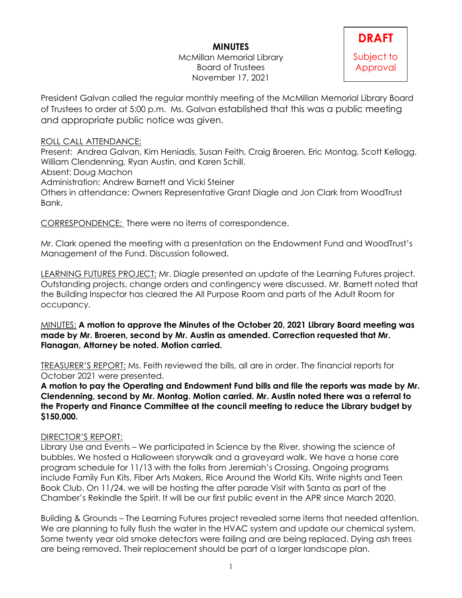## **MINUTES**

McMillan Memorial Library Board of Trustees November 17, 2021

# **DRAFT** Subject to Approval

President Galvan called the regular monthly meeting of the McMillan Memorial Library Board of Trustees to order at 5:00 p.m. Ms. Galvan established that this was a public meeting and appropriate public notice was given.

#### ROLL CALL ATTENDANCE:

Present: Andrea Galvan, Kim Heniadis, Susan Feith, Craig Broeren, Eric Montag, Scott Kellogg, William Clendenning, Ryan Austin, and Karen Schill.

Absent: Doug Machon

Administration: Andrew Barnett and Vicki Steiner

Others in attendance: Owners Representative Grant Diagle and Jon Clark from WoodTrust Bank.

CORRESPONDENCE: There were no items of correspondence.

Mr. Clark opened the meeting with a presentation on the Endowment Fund and WoodTrust's Management of the Fund. Discussion followed.

LEARNING FUTURES PROJECT: Mr. Diagle presented an update of the Learning Futures project. Outstanding projects, change orders and contingency were discussed. Mr. Barnett noted that the Building Inspector has cleared the All Purpose Room and parts of the Adult Room for occupancy.

MINUTES: **A motion to approve the Minutes of the October 20, 2021 Library Board meeting was made by Mr. Broeren, second by Mr. Austin as amended. Correction requested that Mr. Flanagan, Attorney be noted. Motion carried.** 

TREASURER'S REPORT: Ms. Feith reviewed the bills, all are in order. The financial reports for October 2021 were presented.

**A motion to pay the Operating and Endowment Fund bills and file the reports was made by Mr. Clendenning, second by Mr. Montag. Motion carried. Mr. Austin noted there was a referral to the Property and Finance Committee at the council meeting to reduce the Library budget by \$150,000.**

#### DIRECTOR'S REPORT:

Library Use and Events – We participated in Science by the River, showing the science of bubbles. We hosted a Halloween storywalk and a graveyard walk. We have a horse care program schedule for 11/13 with the folks from Jeremiah's Crossing. Ongoing programs include Family Fun Kits, Fiber Arts Makers, Rice Around the World Kits, Write nights and Teen Book Club. On 11/24, we will be hosting the after parade Visit with Santa as part of the Chamber's Rekindle the Spirit. It will be our first public event in the APR since March 2020.

Building & Grounds – The Learning Futures project revealed some items that needed attention. We are planning to fully flush the water in the HVAC system and update our chemical system. Some twenty year old smoke detectors were failing and are being replaced. Dying ash trees are being removed. Their replacement should be part of a larger landscape plan.